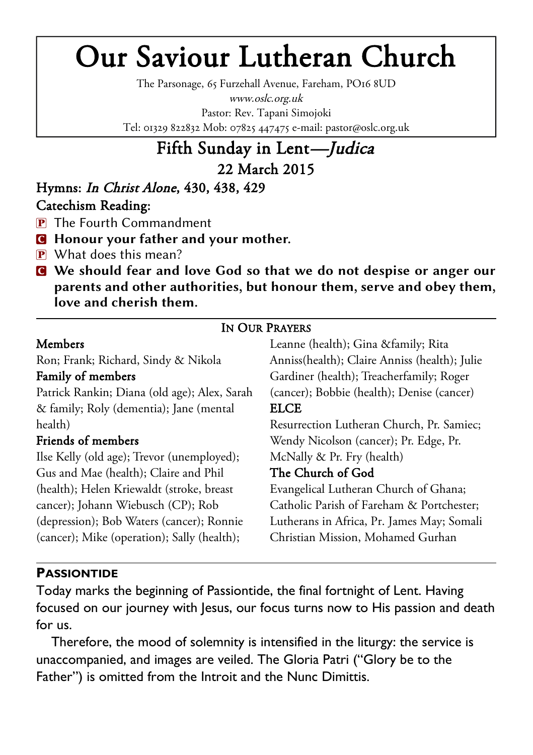# Our Saviour Lutheran Church

The Parsonage, 65 Furzehall Avenue, Fareham, PO16 8UD www.oslc.org.uk Pastor: Rev. Tapani Simojoki Tel: 01329 822832 Mob: 07825 447475 e-mail: pastor@oslc.org.uk

## Fifth Sunday in Lent—Judica 22 March 2015

Hymns: In Christ Alone, 430, 438, 429

### Catechism Reading:

- **P** The Fourth Commandment
- C **Honour your father and your mother.**
- P What does this mean?
- C **We should fear and love God so that we do not despise or anger our parents and other authorities, but honour them, serve and obey them, love and cherish them.**

#### IN OUR PRAYERS **Members** Ron; Frank; Richard, Sindy & Nikola Family of members Patrick Rankin; Diana (old age); Alex, Sarah & family; Roly (dementia); Jane (mental health) Friends of members Ilse Kelly (old age); Trevor (unemployed); Gus and Mae (health); Claire and Phil (health); Helen Kriewaldt (stroke, breast cancer); Johann Wiebusch (CP); Rob (depression); Bob Waters (cancer); Ronnie (cancer); Mike (operation); Sally (health); Leanne (health); Gina &family; Rita Anniss(health); Claire Anniss (health); Julie Gardiner (health); Treacherfamily; Roger (cancer); Bobbie (health); Denise (cancer) **ELCE** Resurrection Lutheran Church, Pr. Samiec; Wendy Nicolson (cancer); Pr. Edge, Pr. McNally & Pr. Fry (health) The Church of God Evangelical Lutheran Church of Ghana; Catholic Parish of Fareham & Portchester; Lutherans in Africa, Pr. James May; Somali Christian Mission, Mohamed Gurhan

#### **PASSIONTIDE**

Today marks the beginning of Passiontide, the final fortnight of Lent. Having focused on our journey with Jesus, our focus turns now to His passion and death for us.

Therefore, the mood of solemnity is intensified in the liturgy: the service is unaccompanied, and images are veiled. The Gloria Patri ("Glory be to the Father") is omitted from the Introit and the Nunc Dimittis.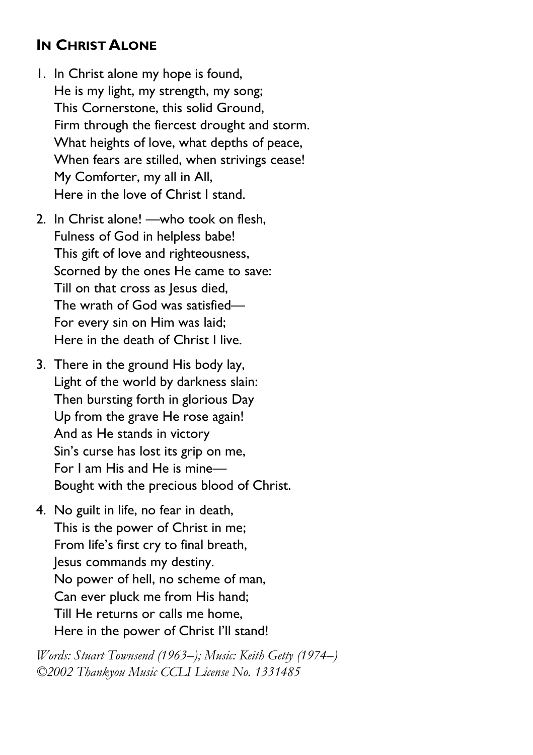#### **IN CHRIST ALONE**

- 1. In Christ alone my hope is found, He is my light, my strength, my song; This Cornerstone, this solid Ground, Firm through the fiercest drought and storm. What heights of love, what depths of peace, When fears are stilled, when strivings cease! My Comforter, my all in All, Here in the love of Christ I stand.
- 2. In Christ alone! —who took on flesh, Fulness of God in helpless babe! This gift of love and righteousness, Scorned by the ones He came to save: Till on that cross as lesus died. The wrath of God was satisfied— For every sin on Him was laid; Here in the death of Christ I live.
- 3. There in the ground His body lay, Light of the world by darkness slain: Then bursting forth in glorious Day Up from the grave He rose again! And as He stands in victory Sin's curse has lost its grip on me, For I am His and He is mine— Bought with the precious blood of Christ.
- 4. No guilt in life, no fear in death, This is the power of Christ in me; From life's first cry to final breath, Jesus commands my destiny. No power of hell, no scheme of man, Can ever pluck me from His hand; Till He returns or calls me home, Here in the power of Christ I'll stand!

*Words: Stuart Townsend (1963–); Music: Keith Getty (1974–) ©2002 Thankyou Music CCLI License No. 1331485*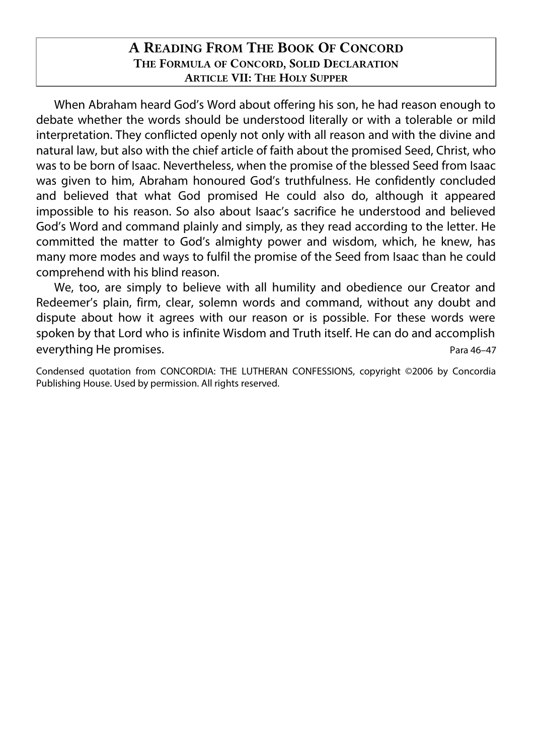#### **A READING FROM THE BOOK OF CONCORD THE FORMULA OF CONCORD, SOLID DECLARATION ARTICLE VII: THE HOLY SUPPER**

When Abraham heard God's Word about offering his son, he had reason enough to debate whether the words should be understood literally or with a tolerable or mild interpretation. They conflicted openly not only with all reason and with the divine and natural law, but also with the chief article of faith about the promised Seed, Christ, who was to be born of Isaac. Nevertheless, when the promise of the blessed Seed from Isaac was given to him, Abraham honoured God's truthfulness. He confidently concluded and believed that what God promised He could also do, although it appeared impossible to his reason. So also about Isaac's sacrifice he understood and believed God's Word and command plainly and simply, as they read according to the letter. He committed the matter to God's almighty power and wisdom, which, he knew, has many more modes and ways to fulfil the promise of the Seed from Isaac than he could comprehend with his blind reason.

We, too, are simply to believe with all humility and obedience our Creator and Redeemer's plain, firm, clear, solemn words and command, without any doubt and dispute about how it agrees with our reason or is possible. For these words were spoken by that Lord who is infinite Wisdom and Truth itself. He can do and accomplish everything He promises. And the state of the state of the state of the para 46–47

Condensed quotation from CONCORDIA: THE LUTHERAN CONFESSIONS, copyright ©2006 by Concordia Publishing House. Used by permission. All rights reserved.